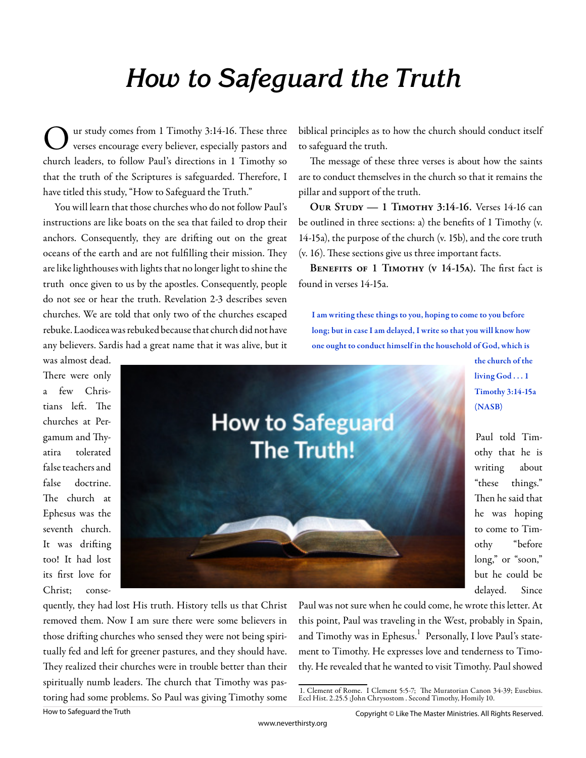## **How to Safeguard the Truth**

O ur study comes from 1 Timothy 3:14-16. These three verses encourage every believer, especially pastors and church leaders, to follow Paul's directions in 1 Timothy so that the truth of the Scriptures is safeguarded. Therefore, I have titled this study, "How to Safeguard the Truth."

You will learn that those churches who do not follow Paul's instructions are like boats on the sea that failed to drop their anchors. Consequently, they are drifting out on the great oceans of the earth and are not fulfilling their mission. They are like lighthouses with lights that no longer light to shine the truth once given to us by the apostles. Consequently, people do not see or hear the truth. Revelation 2-3 describes seven churches. We are told that only two of the churches escaped rebuke. Laodicea was rebuked because that church did not have any believers. Sardis had a great name that it was alive, but it

was almost dead. There were only a few Christians left. The churches at Pergamum and Thyatira tolerated false teachers and false doctrine. The church at Ephesus was the seventh church. It was drifting too! It had lost its first love for Christ; conse-



biblical principles as to how the church should conduct itself to safeguard the truth.

The message of these three verses is about how the saints are to conduct themselves in the church so that it remains the pillar and support of the truth.

**Our Study — 1 Timothy 3:14-16.** Verses 14-16 can be outlined in three sections: a) the benefits of  $1$  Timothy (v. 14-15a), the purpose of the church (v. 15b), and the core truth  $(v. 16)$ . These sections give us three important facts.

BENEFITS OF 1 TIMOTHY (V 14-15A). The first fact is found in verses 14-15a.

I am writing these things to you, hoping to come to you before long; but in case I am delayed, I write so that you will know how one ought to conduct himself in the household of God, which is

> the church of the living God . . . 1 Timothy 3:14-15a (NASB)

Paul told Timothy that he is writing about "these things." Then he said that he was hoping to come to Timothy "before long," or "soon," but he could be delayed. Since

quently, they had lost His truth. History tells us that Christ removed them. Now I am sure there were some believers in those drifting churches who sensed they were not being spiritually fed and left for greener pastures, and they should have. They realized their churches were in trouble better than their spiritually numb leaders. The church that Timothy was pastoring had some problems. So Paul was giving Timothy some

Paul was not sure when he could come, he wrote this letter. At this point, Paul was traveling in the West, probably in Spain, and Timothy was in Ephesus. $^{\rm 1}$  Personally, I love Paul's statement to Timothy. He expresses love and tenderness to Timothy. He revealed that he wanted to visit Timothy. Paul showed

<sup>1.</sup> Clement of Rome. I Clement 5:5-7; The Muratorian Canon 34-39; Eusebius. Eccl Hist. 2.25.5 ;John Chrysostom . Second Timothy, Homily 10.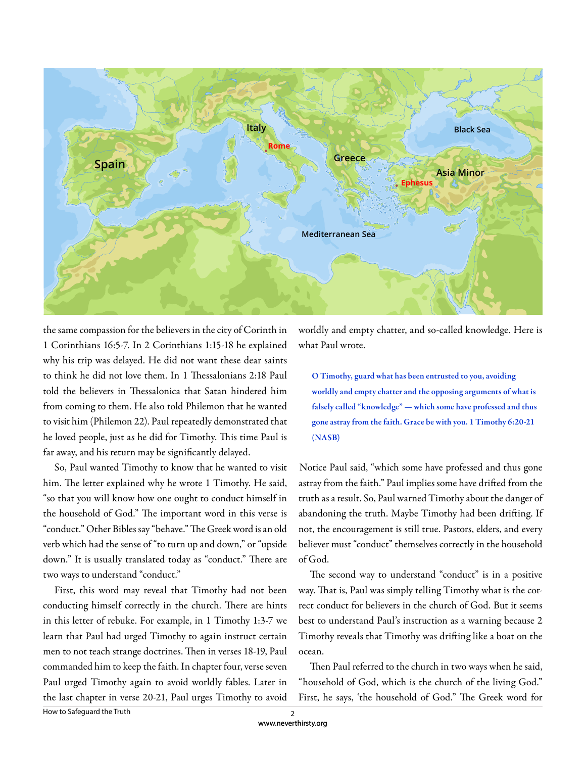

the same compassion for the believers in the city of Corinth in 1 Corinthians 16:5-7. In 2 Corinthians 1:15-18 he explained why his trip was delayed. He did not want these dear saints to think he did not love them. In 1 Thessalonians 2:18 Paul told the believers in Thessalonica that Satan hindered him from coming to them. He also told Philemon that he wanted to visit him (Philemon 22). Paul repeatedly demonstrated that he loved people, just as he did for Timothy. This time Paul is far away, and his return may be significantly delayed.

So, Paul wanted Timothy to know that he wanted to visit him. The letter explained why he wrote 1 Timothy. He said, "so that you will know how one ought to conduct himself in the household of God." The important word in this verse is "conduct." Other Bibles say "behave." The Greek word is an old verb which had the sense of "to turn up and down," or "upside down." It is usually translated today as "conduct." There are two ways to understand "conduct."

First, this word may reveal that Timothy had not been conducting himself correctly in the church. There are hints in this letter of rebuke. For example, in 1 Timothy 1:3-7 we learn that Paul had urged Timothy to again instruct certain men to not teach strange doctrines. Then in verses 18-19, Paul commanded him to keep the faith. In chapter four, verse seven Paul urged Timothy again to avoid worldly fables. Later in the last chapter in verse 20-21, Paul urges Timothy to avoid worldly and empty chatter, and so-called knowledge. Here is what Paul wrote.

O Timothy, guard what has been entrusted to you, avoiding worldly and empty chatter and the opposing arguments of what is falsely called "knowledge" — which some have professed and thus gone astray from the faith. Grace be with you. 1 Timothy 6:20-21 (NASB)

Notice Paul said, "which some have professed and thus gone astray from the faith." Paul implies some have drifted from the truth as a result. So, Paul warned Timothy about the danger of abandoning the truth. Maybe Timothy had been drifting. If not, the encouragement is still true. Pastors, elders, and every believer must "conduct" themselves correctly in the household of God.

The second way to understand "conduct" is in a positive way. That is, Paul was simply telling Timothy what is the correct conduct for believers in the church of God. But it seems best to understand Paul's instruction as a warning because 2 Timothy reveals that Timothy was drifting like a boat on the ocean.

Then Paul referred to the church in two ways when he said, "household of God, which is the church of the living God." First, he says, 'the household of God." The Greek word for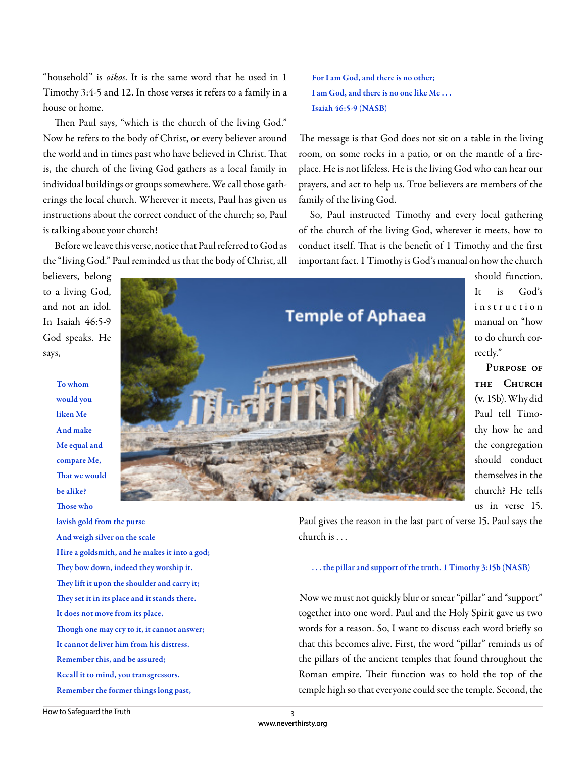"household" is *oikos*. It is the same word that he used in 1 Timothy 3:4-5 and 12. In those verses it refers to a family in a house or home.

Then Paul says, "which is the church of the living God." Now he refers to the body of Christ, or every believer around the world and in times past who have believed in Christ. That is, the church of the living God gathers as a local family in individual buildings or groups somewhere. We call those gatherings the local church. Wherever it meets, Paul has given us instructions about the correct conduct of the church; so, Paul is talking about your church!

Before we leave this verse, notice that Paul referred to God as the "living God." Paul reminded us that the body of Christ, all The message is that God does not sit on a table in the living room, on some rocks in a patio, or on the mantle of a fireplace. He is not lifeless. He is the living God who can hear our prayers, and act to help us. True believers are members of the

So, Paul instructed Timothy and every local gathering of the church of the living God, wherever it meets, how to conduct itself. That is the benefit of 1 Timothy and the first important fact. 1 Timothy is God's manual on how the church

believers, belong to a living God, and not an idol. In Isaiah 46:5-9 God speaks. He says,

> To whom would you liken Me And make Me equal and compare Me, That we would be alike? Those who

lavish gold from the purse And weigh silver on the scale Hire a goldsmith, and he makes it into a god; They bow down, indeed they worship it. They lift it upon the shoulder and carry it; They set it in its place and it stands there. It does not move from its place. Though one may cry to it, it cannot answer; It cannot deliver him from his distress. Remember this, and be assured; Recall it to mind, you transgressors. Remember the former things long past,

should function. It is God's in struction manual on "how to do church correctly."

**Purpose of the Church (v.** 15b). Why did Paul tell Timothy how he and the congregation should conduct themselves in the church? He tells us in verse 15.

Paul gives the reason in the last part of verse 15. Paul says the church is . . .

## . . . the pillar and support of the truth. 1 Timothy 3:15b (NASB)

Now we must not quickly blur or smear "pillar" and "support" together into one word. Paul and the Holy Spirit gave us two words for a reason. So, I want to discuss each word briefly so that this becomes alive. First, the word "pillar" reminds us of the pillars of the ancient temples that found throughout the Roman empire. Their function was to hold the top of the temple high so that everyone could see the temple. Second, the

For I am God, and there is no other; I am God, and there is no one like Me . . .

Isaiah 46:5-9 (NASB)



www.neverthirsty.org 3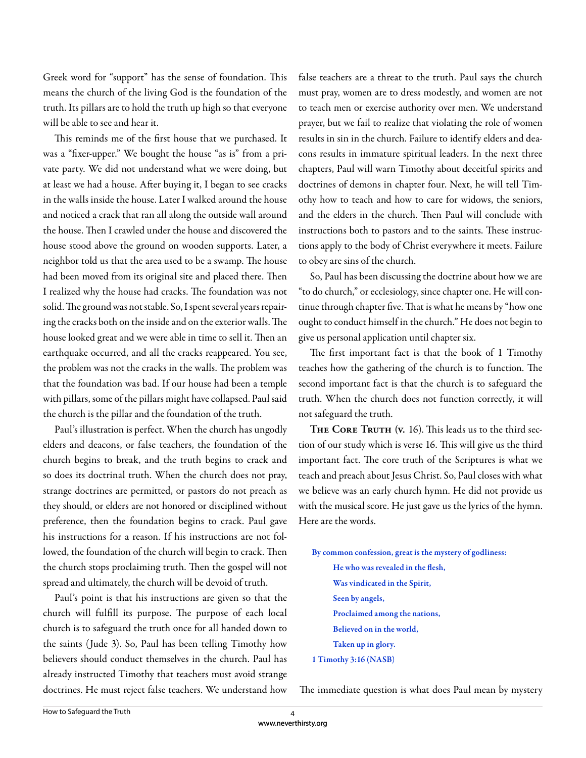Greek word for "support" has the sense of foundation. This means the church of the living God is the foundation of the truth. Its pillars are to hold the truth up high so that everyone will be able to see and hear it.

This reminds me of the first house that we purchased. It was a "fixer-upper." We bought the house "as is" from a private party. We did not understand what we were doing, but at least we had a house. After buying it, I began to see cracks in the walls inside the house. Later I walked around the house and noticed a crack that ran all along the outside wall around the house. Then I crawled under the house and discovered the house stood above the ground on wooden supports. Later, a neighbor told us that the area used to be a swamp. The house had been moved from its original site and placed there. Then I realized why the house had cracks. The foundation was not solid. The ground was not stable. So, I spent several years repairing the cracks both on the inside and on the exterior walls. The house looked great and we were able in time to sell it. Then an earthquake occurred, and all the cracks reappeared. You see, the problem was not the cracks in the walls. The problem was that the foundation was bad. If our house had been a temple with pillars, some of the pillars might have collapsed. Paul said the church is the pillar and the foundation of the truth.

Paul's illustration is perfect. When the church has ungodly elders and deacons, or false teachers, the foundation of the church begins to break, and the truth begins to crack and so does its doctrinal truth. When the church does not pray, strange doctrines are permitted, or pastors do not preach as they should, or elders are not honored or disciplined without preference, then the foundation begins to crack. Paul gave his instructions for a reason. If his instructions are not followed, the foundation of the church will begin to crack. Then the church stops proclaiming truth. Then the gospel will not spread and ultimately, the church will be devoid of truth.

Paul's point is that his instructions are given so that the church will fulfill its purpose. The purpose of each local church is to safeguard the truth once for all handed down to the saints (Jude 3). So, Paul has been telling Timothy how believers should conduct themselves in the church. Paul has already instructed Timothy that teachers must avoid strange doctrines. He must reject false teachers. We understand how false teachers are a threat to the truth. Paul says the church must pray, women are to dress modestly, and women are not to teach men or exercise authority over men. We understand prayer, but we fail to realize that violating the role of women results in sin in the church. Failure to identify elders and deacons results in immature spiritual leaders. In the next three chapters, Paul will warn Timothy about deceitful spirits and doctrines of demons in chapter four. Next, he will tell Timothy how to teach and how to care for widows, the seniors, and the elders in the church. Then Paul will conclude with instructions both to pastors and to the saints. These instructions apply to the body of Christ everywhere it meets. Failure to obey are sins of the church.

So, Paul has been discussing the doctrine about how we are "to do church," or ecclesiology, since chapter one. He will continue through chapter five. That is what he means by "how one ought to conduct himself in the church." He does not begin to give us personal application until chapter six.

The first important fact is that the book of 1 Timothy teaches how the gathering of the church is to function. The second important fact is that the church is to safeguard the truth. When the church does not function correctly, it will not safeguard the truth.

THE CORE TRUTH (v. 16). This leads us to the third section of our study which is verse 16. This will give us the third important fact. The core truth of the Scriptures is what we teach and preach about Jesus Christ. So, Paul closes with what we believe was an early church hymn. He did not provide us with the musical score. He just gave us the lyrics of the hymn. Here are the words.

By common confession, great is the mystery of godliness: He who was revealed in the flesh, Was vindicated in the Spirit, Seen by angels, Proclaimed among the nations, Believed on in the world, Taken up in glory. 1 Timothy 3:16 (NASB)

The immediate question is what does Paul mean by mystery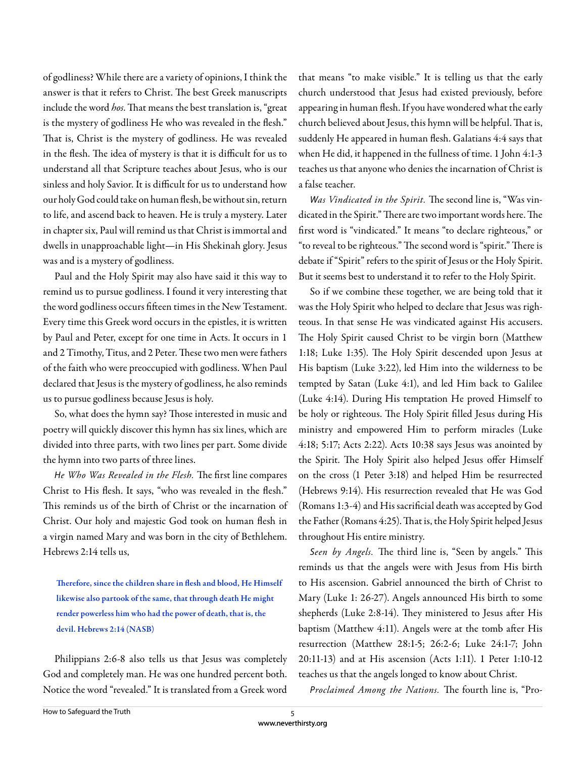of godliness? While there are a variety of opinions, I think the answer is that it refers to Christ. The best Greek manuscripts include the word *hos*. That means the best translation is, "great is the mystery of godliness He who was revealed in the flesh." That is, Christ is the mystery of godliness. He was revealed in the flesh. The idea of mystery is that it is difficult for us to understand all that Scripture teaches about Jesus, who is our sinless and holy Savior. It is difficult for us to understand how our holy God could take on human flesh, be without sin, return to life, and ascend back to heaven. He is truly a mystery. Later in chapter six, Paul will remind us that Christ is immortal and dwells in unapproachable light—in His Shekinah glory. Jesus was and is a mystery of godliness.

Paul and the Holy Spirit may also have said it this way to remind us to pursue godliness. I found it very interesting that the word godliness occurs fifteen times in the New Testament. Every time this Greek word occurs in the epistles, it is written by Paul and Peter, except for one time in Acts. It occurs in 1 and 2 Timothy, Titus, and 2 Peter. These two men were fathers of the faith who were preoccupied with godliness. When Paul declared that Jesus is the mystery of godliness, he also reminds us to pursue godliness because Jesus is holy.

So, what does the hymn say? Those interested in music and poetry will quickly discover this hymn has six lines, which are divided into three parts, with two lines per part. Some divide the hymn into two parts of three lines.

He Who Was Revealed in the Flesh. The first line compares Christ to His flesh. It says, "who was revealed in the flesh." This reminds us of the birth of Christ or the incarnation of Christ. Our holy and majestic God took on human flesh in a virgin named Mary and was born in the city of Bethlehem. Hebrews 2:14 tells us,

Therefore, since the children share in flesh and blood, He Himself likewise also partook of the same, that through death He might render powerless him who had the power of death, that is, the devil. Hebrews 2:14 (NASB)

Philippians 2:6-8 also tells us that Jesus was completely God and completely man. He was one hundred percent both. Notice the word "revealed." It is translated from a Greek word that means "to make visible." It is telling us that the early church understood that Jesus had existed previously, before appearing in human flesh. If you have wondered what the early church believed about Jesus, this hymn will be helpful. That is, suddenly He appeared in human flesh. Galatians 4:4 says that when He did, it happened in the fullness of time. 1 John 4:1-3 teaches us that anyone who denies the incarnation of Christ is a false teacher.

Was Vindicated in the Spirit. The second line is, "Was vindicated in the Spirit." There are two important words here. The first word is "vindicated." It means "to declare righteous," or "to reveal to be righteous." The second word is "spirit." There is debate if "Spirit" refers to the spirit of Jesus or the Holy Spirit. But it seems best to understand it to refer to the Holy Spirit.

So if we combine these together, we are being told that it was the Holy Spirit who helped to declare that Jesus was righteous. In that sense He was vindicated against His accusers. The Holy Spirit caused Christ to be virgin born (Matthew 1:18; Luke 1:35). The Holy Spirit descended upon Jesus at His baptism (Luke 3:22), led Him into the wilderness to be tempted by Satan (Luke 4:1), and led Him back to Galilee (Luke 4:14). During His temptation He proved Himself to be holy or righteous. The Holy Spirit filled Jesus during His ministry and empowered Him to perform miracles (Luke 4:18; 5:17; Acts 2:22). Acts 10:38 says Jesus was anointed by the Spirit. The Holy Spirit also helped Jesus offer Himself on the cross (1 Peter 3:18) and helped Him be resurrected (Hebrews 9:14). His resurrection revealed that He was God (Romans 1:3-4) and His sacrificial death was accepted by God the Father (Romans 4:25). That is, the Holy Spirit helped Jesus throughout His entire ministry.

Seen by Angels. The third line is, "Seen by angels." This reminds us that the angels were with Jesus from His birth to His ascension. Gabriel announced the birth of Christ to Mary (Luke 1: 26-27). Angels announced His birth to some shepherds (Luke 2:8-14). They ministered to Jesus after His baptism (Matthew 4:11). Angels were at the tomb after His resurrection (Matthew 28:1-5; 26:2-6; Luke 24:1-7; John 20:11-13) and at His ascension (Acts 1:11). 1 Peter 1:10-12 teaches us that the angels longed to know about Christ.

Proclaimed Among the Nations. The fourth line is, "Pro-